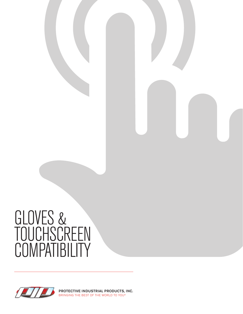# GLOVES & TOUCHSCREEN **COMPATIBILITY**



BRINGING THE BEST OF THE WORLD TO YOU® PROTECTIVE INDUSTRIAL PRODUCTS, INC.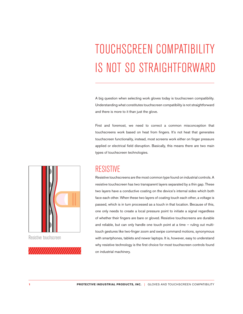# TOUCHSCREEN COMPATIBILITY IS NOT SO STRAIGHTFORWARD

A big question when selecting work gloves today is touchscreen compatibility. Understanding what constitutes touchscreen compatibility is not straightforward and there is more to it than just the glove.

First and foremost, we need to correct a common misconception that touchscreens work based on heat from fingers. It's not heat that generates touchscreen functionality, instead, most screens work either on finger pressure applied or electrical field disruption. Basically, this means there are two main types of touchscreen technologies.

### RESISTIVE

Resistive touchscreens are the most common type found on industrial controls. A resistive touchscreen has two transparent layers separated by a thin gap. These two layers have a conductive coating on the device's internal sides which both face each other. When these two layers of coating touch each other, a voltage is passed, which is in turn processed as a touch in that location. Because of this, one only needs to create a local pressure point to initiate a signal regardless of whether their fingers are bare or gloved. Resistive touchscreens are durable and reliable, but can only handle one touch point at a time — ruling out multitouch gestures like two-finger zoom and swipe command motions, synonymous with smartphones, tablets and newer laptops. It is, however, easy to understand why resistive technology is the first choice for most touchscreen controls found on industrial machinery.



Resistive touchscreen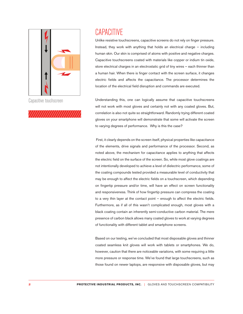

Capacitive touchscreen



#### CAPACITIVE

Unlike resistive touchscreens, capacitive screens do not rely on finger pressure. Instead, they work with anything that holds an electrical charge — including human skin. Our skin is comprised of atoms with positive and negative charges. Capacitive touchscreens coated with materials like copper or indium tin oxide, store electrical charges in an electrostatic grid of tiny wires — each thinner than a human hair. When there is finger contact with the screen surface, it changes electric fields and affects the capacitance. The processor determines the location of the electrical field disruption and commands are executed.

Understanding this, one can logically assume that capacitive touchscreens will not work with most gloves and certainly not with any coated gloves. But, correlation is also not quite so straightforward. Randomly trying different coated gloves on your smartphone will demonstrate that some will activate the screen to varying degrees of performance. Why is this the case?

 First, it clearly depends on the screen itself, physical properties like capacitance of the elements, drive signals and performance of the processor. Second, as noted above, the mechanism for capacitance applies to anything that affects the electric field on the surface of the screen. So, while most glove coatings are not intentionally developed to achieve a level of dielectric performance, some of the coating compounds tested provided a measurable level of conductivity that may be enough to affect the electric fields on a touchscreen, which depending on fingertip pressure and/or time, will have an effect on screen functionality and responsiveness. Think of how fingertip pressure can compress the coating to a very thin layer at the contact point – enough to affect the electric fields. Furthermore, as if all of this wasn't complicated enough, most gloves with a black coating contain an inherently semi-conductive carbon material. The mere presence of carbon black allows many coated gloves to work at varying degrees of functionality with different tablet and smartphone screens.

Based on our testing, we've concluded that most disposable gloves and thinner coated seamless knit gloves will work with tablets or smartphones. We do, however, caution that there are noticeable variations, with some requiring a little more pressure or response time. We've found that large touchscreens, such as those found on newer laptops, are responsive with disposable gloves, but may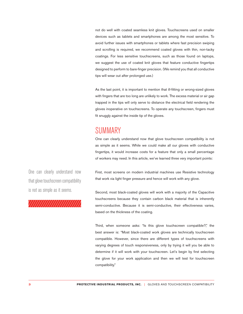not do well with coated seamless knit gloves. Touchscreens used on smaller devices such as tablets and smartphones are among the most sensitive. To avoid further issues with smartphones or tablets where fast precision swiping and scrolling is required, we recommend coated gloves with thin, non-tacky coatings. For less sensitive touchscreens, such as those found on laptops, we suggest the use of coated knit gloves that feature conductive fingertips designed to perform to bare-finger precision. (We remind you that all conductive tips will wear out after prolonged use.)

As the last point, it is important to mention that ill-fitting or wrong-sized gloves with fingers that are too long are unlikely to work. The excess material or air gap trapped in the tips will only serve to distance the electrical field rendering the gloves inoperative on touchscreens. To operate any touchscreen, fingers must fit snuggly against the inside tip of the gloves.

### SUMMARY

One can clearly understand now that glove touchscreen compatibility is not as simple as it seems. While we could make all our gloves with conductive fingertips, it would increase costs for a feature that only a small percentage of workers may need. In this article, we've learned three very important points:

First, most screens on modern industrial machines use Resistive technology that work via light finger pressure and hence will work with any glove.

Second, most black-coated gloves will work with a majority of the Capacitive touchscreens because they contain carbon black material that is inherently semi-conductive. Because it is semi-conductive, their effectiveness varies, based on the thickness of the coating.

Third, when someone asks: "Is this glove touchscreen compatible?," the best answer is: "Most black-coated work gloves are technically touchscreen compatible. However, since there are different types of touchscreens with varying degrees of touch responsiveness, only by trying it will you be able to determine if it will work with your touchscreen. Let's begin by first selecting the glove for your work application and then we will test for touchscreen compatibility."

One can clearly understand now that glove touchscreen compatibility is not as simple as it seems.